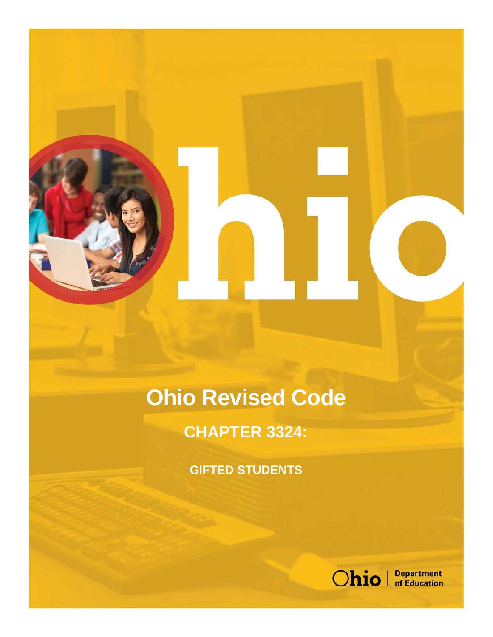# **Ohio Revised Code**

# **CHAPTER 3324:**

**GIFTED STUDENTS**

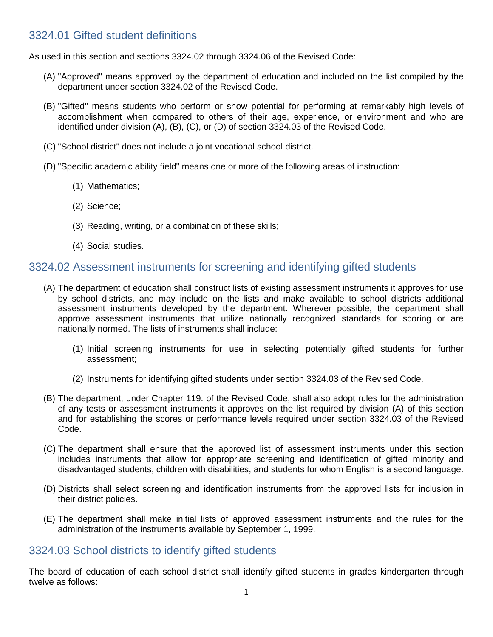#### 3324.01 Gifted student definitions

As used in this section and sections 3324.02 through 3324.06 of the Revised Code:

- (A) "Approved" means approved by the department of education and included on the list compiled by the department under section 3324.02 of the Revised Code.
- (B) "Gifted" means students who perform or show potential for performing at remarkably high levels of accomplishment when compared to others of their age, experience, or environment and who are identified under division (A), (B), (C), or (D) of section 3324.03 of the Revised Code.
- (C) "School district" does not include a joint vocational school district.
- (D) "Specific academic ability field" means one or more of the following areas of instruction:
	- (1) Mathematics;
	- (2) Science;
	- (3) Reading, writing, or a combination of these skills;
	- (4) Social studies.

#### 3324.02 Assessment instruments for screening and identifying gifted students

- (A) The department of education shall construct lists of existing assessment instruments it approves for use by school districts, and may include on the lists and make available to school districts additional assessment instruments developed by the department. Wherever possible, the department shall approve assessment instruments that utilize nationally recognized standards for scoring or are nationally normed. The lists of instruments shall include:
	- (1) Initial screening instruments for use in selecting potentially gifted students for further assessment;
	- (2) Instruments for identifying gifted students under section 3324.03 of the Revised Code.
- (B) The department, under Chapter 119. of the Revised Code, shall also adopt rules for the administration of any tests or assessment instruments it approves on the list required by division (A) of this section and for establishing the scores or performance levels required under section 3324.03 of the Revised Code.
- (C) The department shall ensure that the approved list of assessment instruments under this section includes instruments that allow for appropriate screening and identification of gifted minority and disadvantaged students, children with disabilities, and students for whom English is a second language.
- (D) Districts shall select screening and identification instruments from the approved lists for inclusion in their district policies.
- (E) The department shall make initial lists of approved assessment instruments and the rules for the administration of the instruments available by September 1, 1999.

## 3324.03 School districts to identify gifted students

The board of education of each school district shall identify gifted students in grades kindergarten through twelve as follows: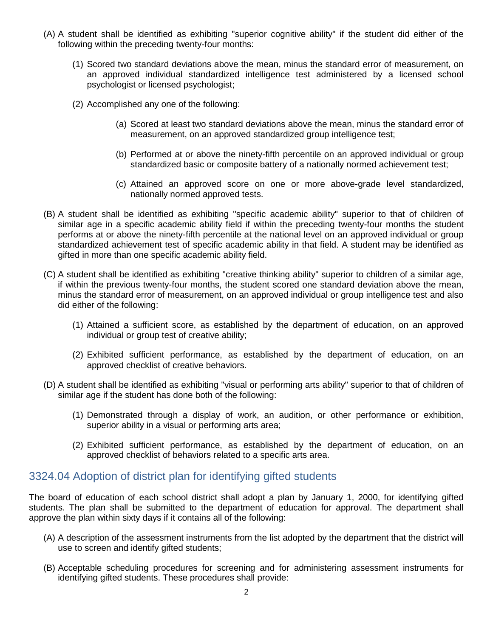- (A) A student shall be identified as exhibiting "superior cognitive ability" if the student did either of the following within the preceding twenty-four months:
	- (1) Scored two standard deviations above the mean, minus the standard error of measurement, on an approved individual standardized intelligence test administered by a licensed school psychologist or licensed psychologist;
	- (2) Accomplished any one of the following:
		- (a) Scored at least two standard deviations above the mean, minus the standard error of measurement, on an approved standardized group intelligence test;
		- (b) Performed at or above the ninety-fifth percentile on an approved individual or group standardized basic or composite battery of a nationally normed achievement test;
		- (c) Attained an approved score on one or more above-grade level standardized, nationally normed approved tests.
- (B) A student shall be identified as exhibiting "specific academic ability" superior to that of children of similar age in a specific academic ability field if within the preceding twenty-four months the student performs at or above the ninety-fifth percentile at the national level on an approved individual or group standardized achievement test of specific academic ability in that field. A student may be identified as gifted in more than one specific academic ability field.
- (C) A student shall be identified as exhibiting "creative thinking ability" superior to children of a similar age, if within the previous twenty-four months, the student scored one standard deviation above the mean, minus the standard error of measurement, on an approved individual or group intelligence test and also did either of the following:
	- (1) Attained a sufficient score, as established by the department of education, on an approved individual or group test of creative ability;
	- (2) Exhibited sufficient performance, as established by the department of education, on an approved checklist of creative behaviors.
- (D) A student shall be identified as exhibiting "visual or performing arts ability" superior to that of children of similar age if the student has done both of the following:
	- (1) Demonstrated through a display of work, an audition, or other performance or exhibition, superior ability in a visual or performing arts area;
	- (2) Exhibited sufficient performance, as established by the department of education, on an approved checklist of behaviors related to a specific arts area.

#### 3324.04 Adoption of district plan for identifying gifted students

The board of education of each school district shall adopt a plan by January 1, 2000, for identifying gifted students. The plan shall be submitted to the department of education for approval. The department shall approve the plan within sixty days if it contains all of the following:

- (A) A description of the assessment instruments from the list adopted by the department that the district will use to screen and identify gifted students;
- (B) Acceptable scheduling procedures for screening and for administering assessment instruments for identifying gifted students. These procedures shall provide: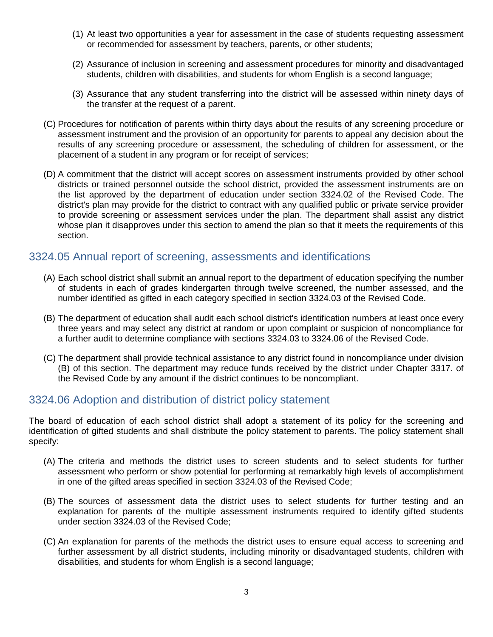- (1) At least two opportunities a year for assessment in the case of students requesting assessment or recommended for assessment by teachers, parents, or other students;
- (2) Assurance of inclusion in screening and assessment procedures for minority and disadvantaged students, children with disabilities, and students for whom English is a second language;
- (3) Assurance that any student transferring into the district will be assessed within ninety days of the transfer at the request of a parent.
- (C) Procedures for notification of parents within thirty days about the results of any screening procedure or assessment instrument and the provision of an opportunity for parents to appeal any decision about the results of any screening procedure or assessment, the scheduling of children for assessment, or the placement of a student in any program or for receipt of services;
- (D) A commitment that the district will accept scores on assessment instruments provided by other school districts or trained personnel outside the school district, provided the assessment instruments are on the list approved by the department of education under section 3324.02 of the Revised Code. The district's plan may provide for the district to contract with any qualified public or private service provider to provide screening or assessment services under the plan. The department shall assist any district whose plan it disapproves under this section to amend the plan so that it meets the requirements of this section.

#### 3324.05 Annual report of screening, assessments and identifications

- (A) Each school district shall submit an annual report to the department of education specifying the number of students in each of grades kindergarten through twelve screened, the number assessed, and the number identified as gifted in each category specified in section 3324.03 of the Revised Code.
- (B) The department of education shall audit each school district's identification numbers at least once every three years and may select any district at random or upon complaint or suspicion of noncompliance for a further audit to determine compliance with sections 3324.03 to 3324.06 of the Revised Code.
- (C) The department shall provide technical assistance to any district found in noncompliance under division (B) of this section. The department may reduce funds received by the district under Chapter 3317. of the Revised Code by any amount if the district continues to be noncompliant.

#### 3324.06 Adoption and distribution of district policy statement

The board of education of each school district shall adopt a statement of its policy for the screening and identification of gifted students and shall distribute the policy statement to parents. The policy statement shall specify:

- (A) The criteria and methods the district uses to screen students and to select students for further assessment who perform or show potential for performing at remarkably high levels of accomplishment in one of the gifted areas specified in section 3324.03 of the Revised Code;
- (B) The sources of assessment data the district uses to select students for further testing and an explanation for parents of the multiple assessment instruments required to identify gifted students under section 3324.03 of the Revised Code;
- (C) An explanation for parents of the methods the district uses to ensure equal access to screening and further assessment by all district students, including minority or disadvantaged students, children with disabilities, and students for whom English is a second language;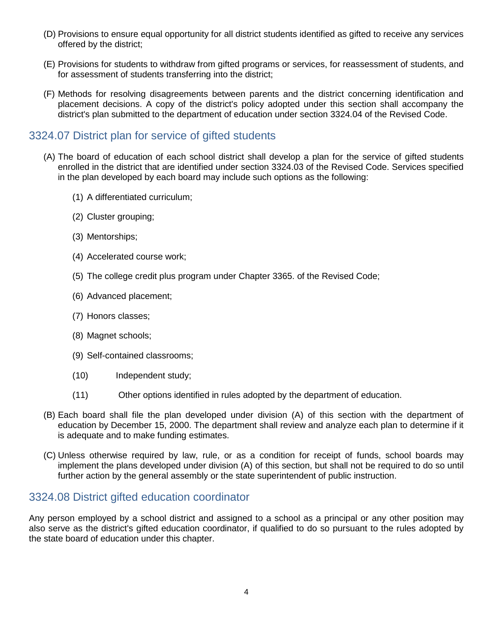- (D) Provisions to ensure equal opportunity for all district students identified as gifted to receive any services offered by the district;
- (E) Provisions for students to withdraw from gifted programs or services, for reassessment of students, and for assessment of students transferring into the district;
- (F) Methods for resolving disagreements between parents and the district concerning identification and placement decisions. A copy of the district's policy adopted under this section shall accompany the district's plan submitted to the department of education under section 3324.04 of the Revised Code.

# 3324.07 District plan for service of gifted students

- (A) The board of education of each school district shall develop a plan for the service of gifted students enrolled in the district that are identified under section 3324.03 of the Revised Code. Services specified in the plan developed by each board may include such options as the following:
	- (1) A differentiated curriculum;
	- (2) Cluster grouping;
	- (3) Mentorships;
	- (4) Accelerated course work;
	- (5) The college credit plus program under Chapter 3365. of the Revised Code;
	- (6) Advanced placement;
	- (7) Honors classes;
	- (8) Magnet schools;
	- (9) Self-contained classrooms;
	- (10) Independent study;
	- (11) Other options identified in rules adopted by the department of education.
- (B) Each board shall file the plan developed under division (A) of this section with the department of education by December 15, 2000. The department shall review and analyze each plan to determine if it is adequate and to make funding estimates.
- (C) Unless otherwise required by law, rule, or as a condition for receipt of funds, school boards may implement the plans developed under division (A) of this section, but shall not be required to do so until further action by the general assembly or the state superintendent of public instruction.

# 3324.08 District gifted education coordinator

Any person employed by a school district and assigned to a school as a principal or any other position may also serve as the district's gifted education coordinator, if qualified to do so pursuant to the rules adopted by the state board of education under this chapter.